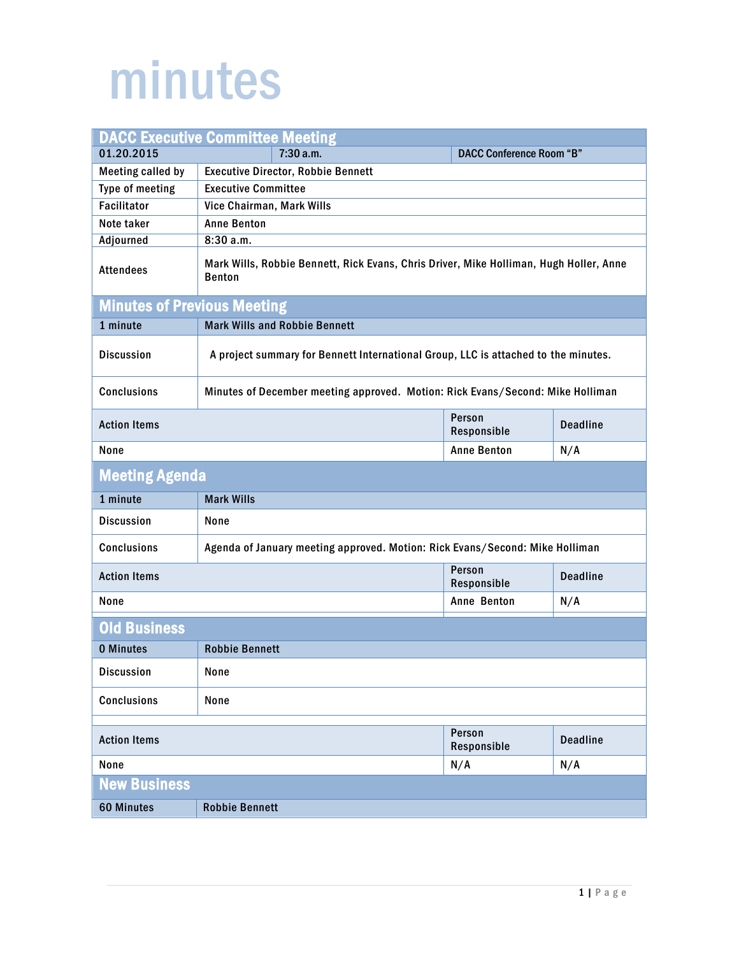## minutes

| <b>DACC Executive Committee Meeting</b>                                                              |                                                                                                         |                       |                 |
|------------------------------------------------------------------------------------------------------|---------------------------------------------------------------------------------------------------------|-----------------------|-----------------|
| 01.20.2015                                                                                           | 7:30 a.m.<br><b>DACC Conference Room "B"</b>                                                            |                       |                 |
| <b>Meeting called by</b>                                                                             | <b>Executive Director, Robbie Bennett</b>                                                               |                       |                 |
| Type of meeting                                                                                      | <b>Executive Committee</b>                                                                              |                       |                 |
| <b>Facilitator</b>                                                                                   | Vice Chairman, Mark Wills                                                                               |                       |                 |
| Note taker                                                                                           | <b>Anne Benton</b>                                                                                      |                       |                 |
| <b>Adjourned</b>                                                                                     | 8:30a.m.                                                                                                |                       |                 |
| <b>Attendees</b>                                                                                     | Mark Wills, Robbie Bennett, Rick Evans, Chris Driver, Mike Holliman, Hugh Holler, Anne<br><b>Benton</b> |                       |                 |
| <b>Minutes of Previous Meeting</b>                                                                   |                                                                                                         |                       |                 |
| 1 minute                                                                                             | <b>Mark Wills and Robbie Bennett</b>                                                                    |                       |                 |
| <b>Discussion</b>                                                                                    | A project summary for Bennett International Group, LLC is attached to the minutes.                      |                       |                 |
| <b>Conclusions</b><br>Minutes of December meeting approved. Motion: Rick Evans/Second: Mike Holliman |                                                                                                         |                       |                 |
| <b>Action Items</b>                                                                                  |                                                                                                         | Person<br>Responsible | <b>Deadline</b> |
| <b>Anne Benton</b><br>None<br>N/A                                                                    |                                                                                                         |                       |                 |
| <b>Meeting Agenda</b>                                                                                |                                                                                                         |                       |                 |
| 1 minute                                                                                             | <b>Mark Wills</b>                                                                                       |                       |                 |
| <b>Discussion</b>                                                                                    | None                                                                                                    |                       |                 |
| <b>Conclusions</b>                                                                                   | Agenda of January meeting approved. Motion: Rick Evans/Second: Mike Holliman                            |                       |                 |
| Person<br><b>Action Items</b><br><b>Deadline</b><br>Responsible                                      |                                                                                                         |                       |                 |
| None                                                                                                 |                                                                                                         | Anne Benton           | N/A             |
| <b>Old Business</b>                                                                                  |                                                                                                         |                       |                 |
| <b>0 Minutes</b>                                                                                     | <b>Robbie Bennett</b>                                                                                   |                       |                 |
| <b>Discussion</b>                                                                                    | None                                                                                                    |                       |                 |
| <b>Conclusions</b>                                                                                   | None                                                                                                    |                       |                 |
| Person                                                                                               |                                                                                                         |                       |                 |
| <b>Action Items</b>                                                                                  |                                                                                                         | Responsible           | <b>Deadline</b> |
| None                                                                                                 |                                                                                                         | N/A                   | N/A             |
| <b>New Business</b>                                                                                  |                                                                                                         |                       |                 |
| <b>60 Minutes</b>                                                                                    | <b>Robbie Bennett</b>                                                                                   |                       |                 |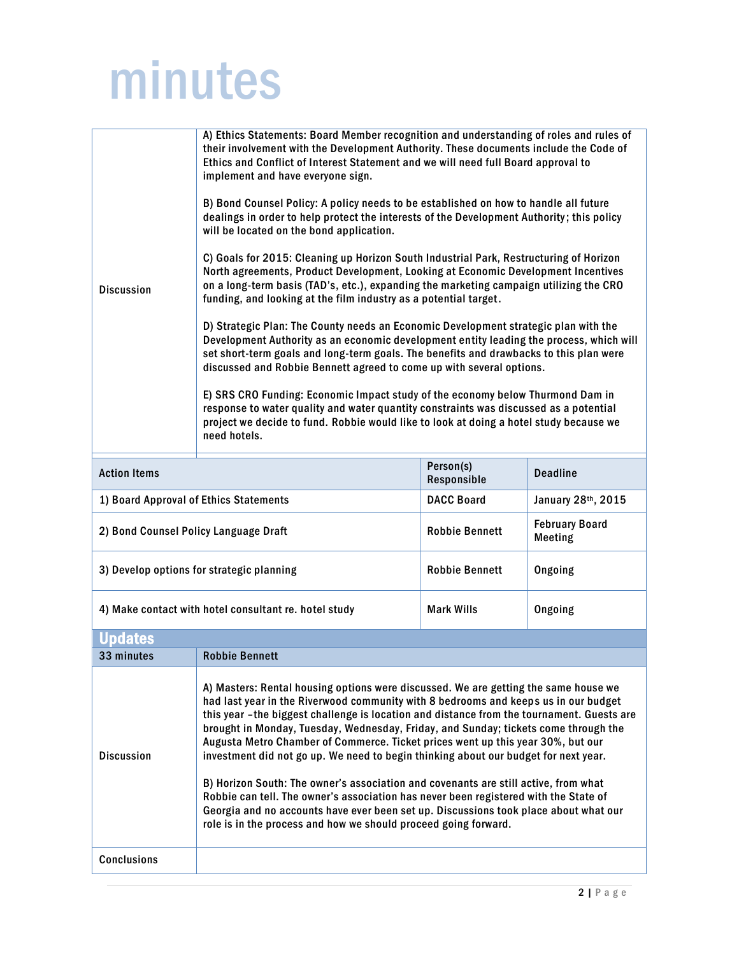## minutes

| <b>Discussion</b>                      | A) Ethics Statements: Board Member recognition and understanding of roles and rules of<br>their involvement with the Development Authority. These documents include the Code of<br>Ethics and Conflict of Interest Statement and we will need full Board approval to<br>implement and have everyone sign.<br>B) Bond Counsel Policy: A policy needs to be established on how to handle all future<br>dealings in order to help protect the interests of the Development Authority; this policy<br>will be located on the bond application.<br>C) Goals for 2015: Cleaning up Horizon South Industrial Park, Restructuring of Horizon<br>North agreements, Product Development, Looking at Economic Development Incentives<br>on a long-term basis (TAD's, etc.), expanding the marketing campaign utilizing the CRO<br>funding, and looking at the film industry as a potential target.<br>D) Strategic Plan: The County needs an Economic Development strategic plan with the<br>Development Authority as an economic development entity leading the process, which will<br>set short-term goals and long-term goals. The benefits and drawbacks to this plan were<br>discussed and Robbie Bennett agreed to come up with several options.<br>E) SRS CRO Funding: Economic Impact study of the economy below Thurmond Dam in<br>response to water quality and water quantity constraints was discussed as a potential<br>project we decide to fund. Robbie would like to look at doing a hotel study because we<br>need hotels. |                          |                                     |
|----------------------------------------|----------------------------------------------------------------------------------------------------------------------------------------------------------------------------------------------------------------------------------------------------------------------------------------------------------------------------------------------------------------------------------------------------------------------------------------------------------------------------------------------------------------------------------------------------------------------------------------------------------------------------------------------------------------------------------------------------------------------------------------------------------------------------------------------------------------------------------------------------------------------------------------------------------------------------------------------------------------------------------------------------------------------------------------------------------------------------------------------------------------------------------------------------------------------------------------------------------------------------------------------------------------------------------------------------------------------------------------------------------------------------------------------------------------------------------------------------------------------------------------------------------------------------------|--------------------------|-------------------------------------|
| <b>Action Items</b>                    |                                                                                                                                                                                                                                                                                                                                                                                                                                                                                                                                                                                                                                                                                                                                                                                                                                                                                                                                                                                                                                                                                                                                                                                                                                                                                                                                                                                                                                                                                                                                  | Person(s)<br>Responsible | <b>Deadline</b>                     |
| 1) Board Approval of Ethics Statements |                                                                                                                                                                                                                                                                                                                                                                                                                                                                                                                                                                                                                                                                                                                                                                                                                                                                                                                                                                                                                                                                                                                                                                                                                                                                                                                                                                                                                                                                                                                                  | <b>DACC Board</b>        | January 28th, 2015                  |
| 2) Bond Counsel Policy Language Draft  |                                                                                                                                                                                                                                                                                                                                                                                                                                                                                                                                                                                                                                                                                                                                                                                                                                                                                                                                                                                                                                                                                                                                                                                                                                                                                                                                                                                                                                                                                                                                  | <b>Robbie Bennett</b>    | <b>February Board</b><br>$M$ ooting |

| 2) DUIN COUNSELT UNCY LANGUAGE DIAIL                  | <b>INANNIC DEIIIIEII</b> | Meeting |
|-------------------------------------------------------|--------------------------|---------|
| 3) Develop options for strategic planning             | <b>Robbie Bennett</b>    | Ongoing |
| 4) Make contact with hotel consultant re. hotel study | <b>Mark Wills</b>        | Ongoing |

| dates              |                                                                                                                                                                                                                                                                                                                                                                                                                                                                                                                                                                                                                                                                                                                                                                                                                                                                                    |
|--------------------|------------------------------------------------------------------------------------------------------------------------------------------------------------------------------------------------------------------------------------------------------------------------------------------------------------------------------------------------------------------------------------------------------------------------------------------------------------------------------------------------------------------------------------------------------------------------------------------------------------------------------------------------------------------------------------------------------------------------------------------------------------------------------------------------------------------------------------------------------------------------------------|
| 33 minutes         | <b>Robbie Bennett</b>                                                                                                                                                                                                                                                                                                                                                                                                                                                                                                                                                                                                                                                                                                                                                                                                                                                              |
| <b>Discussion</b>  | A) Masters: Rental housing options were discussed. We are getting the same house we<br>had last year in the Riverwood community with 8 bedrooms and keeps us in our budget<br>this year -the biggest challenge is location and distance from the tournament. Guests are<br>brought in Monday, Tuesday, Wednesday, Friday, and Sunday; tickets come through the<br>Augusta Metro Chamber of Commerce. Ticket prices went up this year 30%, but our<br>investment did not go up. We need to begin thinking about our budget for next year.<br>B) Horizon South: The owner's association and covenants are still active, from what<br>Robbie can tell. The owner's association has never been registered with the State of<br>Georgia and no accounts have ever been set up. Discussions took place about what our<br>role is in the process and how we should proceed going forward. |
| <b>Conclusions</b> |                                                                                                                                                                                                                                                                                                                                                                                                                                                                                                                                                                                                                                                                                                                                                                                                                                                                                    |